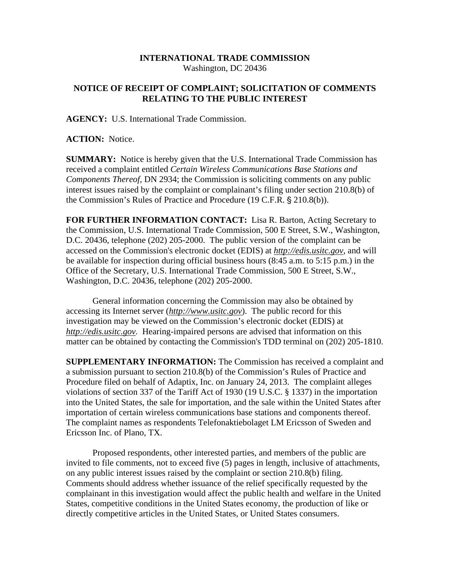## **INTERNATIONAL TRADE COMMISSION**  Washington, DC 20436

## **NOTICE OF RECEIPT OF COMPLAINT; SOLICITATION OF COMMENTS RELATING TO THE PUBLIC INTEREST**

**AGENCY:** U.S. International Trade Commission.

**ACTION:** Notice.

**SUMMARY:** Notice is hereby given that the U.S. International Trade Commission has received a complaint entitled *Certain Wireless Communications Base Stations and Components Thereof,* DN 2934; the Commission is soliciting comments on any public interest issues raised by the complaint or complainant's filing under section 210.8(b) of the Commission's Rules of Practice and Procedure (19 C.F.R. § 210.8(b)).

**FOR FURTHER INFORMATION CONTACT:** Lisa R. Barton, Acting Secretary to the Commission, U.S. International Trade Commission, 500 E Street, S.W., Washington, D.C. 20436, telephone (202) 205-2000. The public version of the complaint can be accessed on the Commission's electronic docket (EDIS) at *http://edis.usitc.gov*, and will be available for inspection during official business hours (8:45 a.m. to 5:15 p.m.) in the Office of the Secretary, U.S. International Trade Commission, 500 E Street, S.W., Washington, D.C. 20436, telephone (202) 205-2000.

General information concerning the Commission may also be obtained by accessing its Internet server (*http://www.usitc.gov*). The public record for this investigation may be viewed on the Commission's electronic docket (EDIS) at *http://edis.usitc.gov.* Hearing-impaired persons are advised that information on this matter can be obtained by contacting the Commission's TDD terminal on (202) 205-1810.

**SUPPLEMENTARY INFORMATION:** The Commission has received a complaint and a submission pursuant to section 210.8(b) of the Commission's Rules of Practice and Procedure filed on behalf of Adaptix, Inc. on January 24, 2013. The complaint alleges violations of section 337 of the Tariff Act of 1930 (19 U.S.C. § 1337) in the importation into the United States, the sale for importation, and the sale within the United States after importation of certain wireless communications base stations and components thereof. The complaint names as respondents Telefonaktiebolaget LM Ericsson of Sweden and Ericsson Inc. of Plano, TX.

Proposed respondents, other interested parties, and members of the public are invited to file comments, not to exceed five (5) pages in length, inclusive of attachments, on any public interest issues raised by the complaint or section 210.8(b) filing. Comments should address whether issuance of the relief specifically requested by the complainant in this investigation would affect the public health and welfare in the United States, competitive conditions in the United States economy, the production of like or directly competitive articles in the United States, or United States consumers.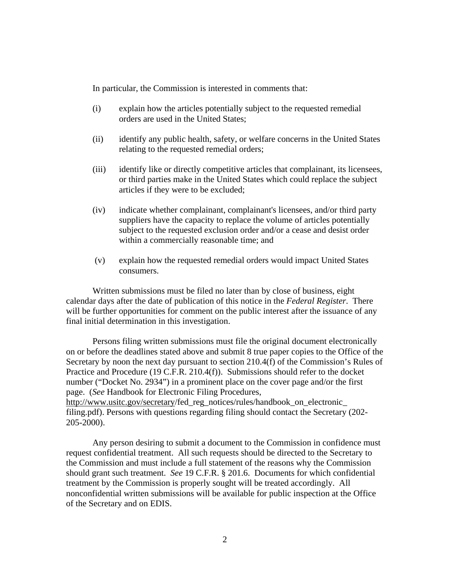In particular, the Commission is interested in comments that:

- (i) explain how the articles potentially subject to the requested remedial orders are used in the United States;
- (ii) identify any public health, safety, or welfare concerns in the United States relating to the requested remedial orders;
- (iii) identify like or directly competitive articles that complainant, its licensees, or third parties make in the United States which could replace the subject articles if they were to be excluded;
- (iv) indicate whether complainant, complainant's licensees, and/or third party suppliers have the capacity to replace the volume of articles potentially subject to the requested exclusion order and/or a cease and desist order within a commercially reasonable time; and
- (v) explain how the requested remedial orders would impact United States consumers.

Written submissions must be filed no later than by close of business, eight calendar days after the date of publication of this notice in the *Federal Register*. There will be further opportunities for comment on the public interest after the issuance of any final initial determination in this investigation.

Persons filing written submissions must file the original document electronically on or before the deadlines stated above and submit 8 true paper copies to the Office of the Secretary by noon the next day pursuant to section 210.4(f) of the Commission's Rules of Practice and Procedure (19 C.F.R. 210.4(f)). Submissions should refer to the docket number ("Docket No. 2934") in a prominent place on the cover page and/or the first page. (*See* Handbook for Electronic Filing Procedures, http://www.usitc.gov/secretary/fed\_reg\_notices/rules/handbook\_on\_electronic\_ filing.pdf). Persons with questions regarding filing should contact the Secretary (202-

205-2000).

Any person desiring to submit a document to the Commission in confidence must request confidential treatment. All such requests should be directed to the Secretary to the Commission and must include a full statement of the reasons why the Commission should grant such treatment. *See* 19 C.F.R. § 201.6. Documents for which confidential treatment by the Commission is properly sought will be treated accordingly. All nonconfidential written submissions will be available for public inspection at the Office of the Secretary and on EDIS.